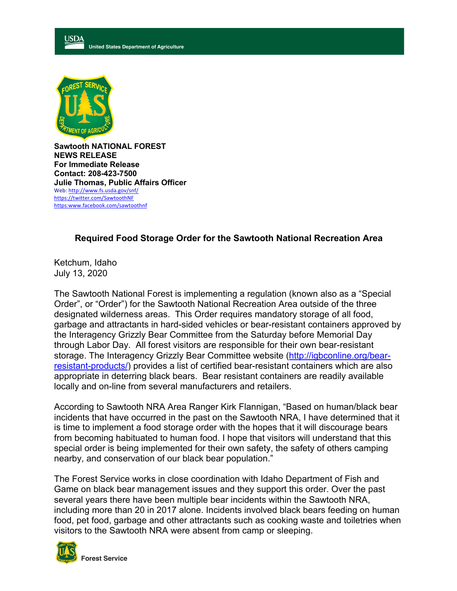



**Sawtooth NATIONAL FOREST NEWS RELEASE For Immediate Release Contact: 208-423-7500 Julie Thomas, Public Affairs Officer** Web: http://www.fs.usda.gov/snf/ https://twitter.com/SawtoothNF https:www.facebook.com/sawtoothnf

## **Required Food Storage Order for the Sawtooth National Recreation Area**

Ketchum, Idaho July 13, 2020

The Sawtooth National Forest is implementing a regulation (known also as a "Special Order", or "Order") for the Sawtooth National Recreation Area outside of the three designated wilderness areas. This Order requires mandatory storage of all food, garbage and attractants in hard-sided vehicles or bear-resistant containers approved by the Interagency Grizzly Bear Committee from the Saturday before Memorial Day through Labor Day. All forest visitors are responsible for their own bear-resistant storage. The Interagency Grizzly Bear Committee website (http://igbconline.org/bearresistant-products/) provides a list of certified bear-resistant containers which are also appropriate in deterring black bears. Bear resistant containers are readily available locally and on-line from several manufacturers and retailers.

According to Sawtooth NRA Area Ranger Kirk Flannigan, "Based on human/black bear incidents that have occurred in the past on the Sawtooth NRA, I have determined that it is time to implement a food storage order with the hopes that it will discourage bears from becoming habituated to human food. I hope that visitors will understand that this special order is being implemented for their own safety, the safety of others camping nearby, and conservation of our black bear population."

The Forest Service works in close coordination with Idaho Department of Fish and Game on black bear management issues and they support this order. Over the past several years there have been multiple bear incidents within the Sawtooth NRA, including more than 20 in 2017 alone. Incidents involved black bears feeding on human food, pet food, garbage and other attractants such as cooking waste and toiletries when visitors to the Sawtooth NRA were absent from camp or sleeping.